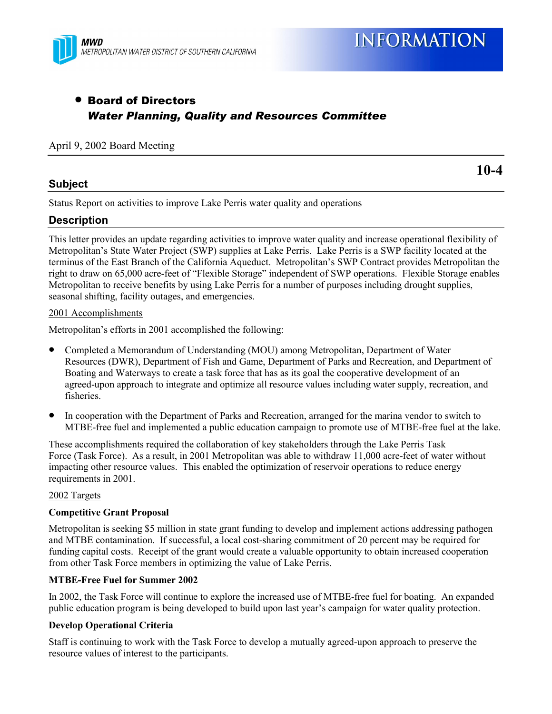

# • Board of Directors *Water Planning, Quality and Resources Committee*

# April 9, 2002 Board Meeting

## **Subject**

**10-4**

Status Report on activities to improve Lake Perris water quality and operations

# **Description**

This letter provides an update regarding activities to improve water quality and increase operational flexibility of Metropolitanís State Water Project (SWP) supplies at Lake Perris. Lake Perris is a SWP facility located at the terminus of the East Branch of the California Aqueduct. Metropolitanís SWP Contract provides Metropolitan the right to draw on 65,000 acre-feet of "Flexible Storage" independent of SWP operations. Flexible Storage enables Metropolitan to receive benefits by using Lake Perris for a number of purposes including drought supplies, seasonal shifting, facility outages, and emergencies.

#### 2001 Accomplishments

Metropolitan's efforts in 2001 accomplished the following:

- Completed a Memorandum of Understanding (MOU) among Metropolitan, Department of Water Resources (DWR), Department of Fish and Game, Department of Parks and Recreation, and Department of Boating and Waterways to create a task force that has as its goal the cooperative development of an agreed-upon approach to integrate and optimize all resource values including water supply, recreation, and fisheries.
- In cooperation with the Department of Parks and Recreation, arranged for the marina vendor to switch to MTBE-free fuel and implemented a public education campaign to promote use of MTBE-free fuel at the lake.

These accomplishments required the collaboration of key stakeholders through the Lake Perris Task Force (Task Force). As a result, in 2001 Metropolitan was able to withdraw 11,000 acre-feet of water without impacting other resource values. This enabled the optimization of reservoir operations to reduce energy requirements in 2001.

#### 2002 Targets

#### **Competitive Grant Proposal**

Metropolitan is seeking \$5 million in state grant funding to develop and implement actions addressing pathogen and MTBE contamination. If successful, a local cost-sharing commitment of 20 percent may be required for funding capital costs. Receipt of the grant would create a valuable opportunity to obtain increased cooperation from other Task Force members in optimizing the value of Lake Perris.

#### **MTBE-Free Fuel for Summer 2002**

In 2002, the Task Force will continue to explore the increased use of MTBE-free fuel for boating. An expanded public education program is being developed to build upon last year's campaign for water quality protection.

#### **Develop Operational Criteria**

Staff is continuing to work with the Task Force to develop a mutually agreed-upon approach to preserve the resource values of interest to the participants.